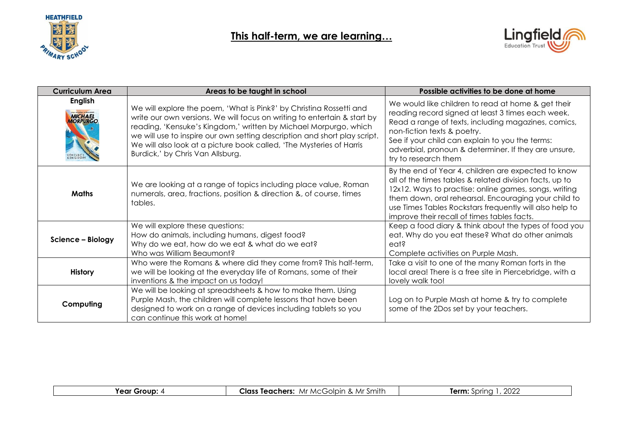



| <b>Curriculum Area</b>                                                       | Areas to be taught in school                                                                                                                                                                                                                                                                                                                                                                                 | Possible activities to be done at home                                                                                                                                                                                                                                                                                                    |
|------------------------------------------------------------------------------|--------------------------------------------------------------------------------------------------------------------------------------------------------------------------------------------------------------------------------------------------------------------------------------------------------------------------------------------------------------------------------------------------------------|-------------------------------------------------------------------------------------------------------------------------------------------------------------------------------------------------------------------------------------------------------------------------------------------------------------------------------------------|
| <b>English</b><br>from the cuthor of MAR HORSE<br><b>MICHAEL</b><br>MORPURGO | We will explore the poem, 'What is Pink?' by Christina Rossetti and<br>write our own versions. We will focus on writing to entertain & start by<br>reading, 'Kensuke's Kingdom,' written by Michael Morpurgo, which<br>we will use to inspire our own setting description and short play script.<br>We will also look at a picture book called, 'The Mysteries of Harris<br>Burdick,' by Chris Van Allsburg. | We would like children to read at home & get their<br>reading record signed at least 3 times each week.<br>Read a range of texts, including magazines, comics,<br>non-fiction texts & poetry.<br>See if your child can explain to you the terms:<br>adverbial, pronoun & determiner. If they are unsure,<br>try to research them          |
| <b>Maths</b>                                                                 | We are looking at a range of topics including place value, Roman<br>numerals, area, fractions, position & direction &, of course, times<br>tables.                                                                                                                                                                                                                                                           | By the end of Year 4, children are expected to know<br>all of the times tables & related division facts, up to<br>12x12. Ways to practise: online games, songs, writing<br>them down, oral rehearsal. Encouraging your child to<br>use Times Tables Rockstars frequently will also help to<br>improve their recall of times tables facts. |
| Science - Biology                                                            | We will explore these questions:<br>How do animals, including humans, digest food?<br>Why do we eat, how do we eat & what do we eat?<br>Who was William Beaumont?                                                                                                                                                                                                                                            | Keep a food diary & think about the types of food you<br>eat. Why do you eat these? What do other animals<br>eat?<br>Complete activities on Purple Mash.                                                                                                                                                                                  |
| <b>History</b>                                                               | Who were the Romans & where did they come from? This half-term,<br>we will be looking at the everyday life of Romans, some of their<br>inventions & the impact on us today!                                                                                                                                                                                                                                  | Take a visit to one of the many Roman forts in the<br>local area! There is a free site in Piercebridge, with a<br>lovely walk too!                                                                                                                                                                                                        |
| Computing                                                                    | We will be looking at spreadsheets & how to make them. Using<br>Purple Mash, the children will complete lessons that have been<br>designed to work on a range of devices including tablets so you<br>can continue this work at home!                                                                                                                                                                         | Log on to Purple Mash at home & try to complete<br>some of the 2Dos set by your teachers.                                                                                                                                                                                                                                                 |

|--|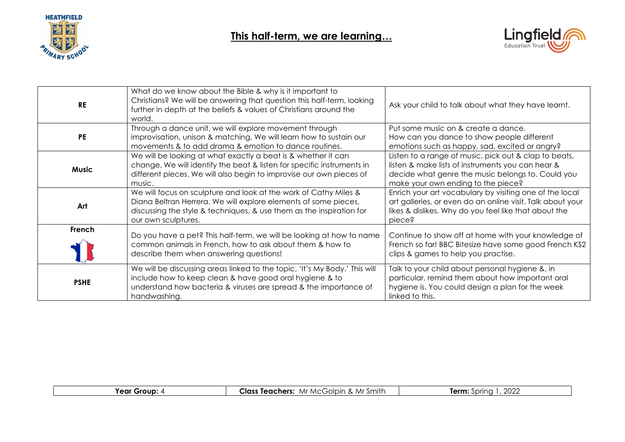



| <b>RE</b>    | What do we know about the Bible & why is it important to<br>Christians? We will be answering that question this half-term, looking<br>further in depth at the beliefs & values of Christians around the<br>world.                  | Ask your child to talk about what they have learnt.                                                                                                                                                   |
|--------------|------------------------------------------------------------------------------------------------------------------------------------------------------------------------------------------------------------------------------------|-------------------------------------------------------------------------------------------------------------------------------------------------------------------------------------------------------|
| <b>PE</b>    | Through a dance unit, we will explore movement through<br>improvisation, unison & matching. We will learn how to sustain our<br>movements & to add drama & emotion to dance routines.                                              | Put some music on & create a dance.<br>How can you dance to show people different<br>emotions such as happy, sad, excited or angry?                                                                   |
| <b>Music</b> | We will be looking at what exactly a beat is & whether it can<br>change. We will identify the beat & listen for specific instruments in<br>different pieces. We will also begin to improvise our own pieces of<br>music.           | Listen to a range of music, pick out & clap to beats,<br>listen & make lists of instruments you can hear &<br>decide what genre the music belongs to. Could you<br>make your own ending to the piece? |
| Art          | We will focus on sculpture and look at the work of Cathy Miles &<br>Diana Beltran Herrera. We will explore elements of some pieces,<br>discussing the style & techniques, & use them as the inspiration for<br>our own sculptures. | Enrich your art vocabulary by visiting one of the local<br>art galleries, or even do an online visit. Talk about your<br>likes & dislikes. Why do you feel like that about the<br>piece?              |
| French       | Do you have a pet? This half-term, we will be looking at how to name<br>common animals in French, how to ask about them & how to<br>describe them when answering questions!                                                        | Continue to show off at home with your knowledge of<br>French so far! BBC Bitesize have some good French KS2<br>clips & games to help you practise.                                                   |
| <b>PSHE</b>  | We will be discussing areas linked to the topic, 'It's My Body.' This will<br>include how to keep clean & have good oral hygiene & to<br>understand how bacteria & viruses are spread & the importance of<br>handwashing.          | Talk to your child about personal hygiene &, in<br>particular, remind them about how important oral<br>hygiene is. You could design a plan for the week<br>linked to this.                            |

|  | ' Group.<br>Year | -Smith<br>& Mr<br>olpin<br>Mr MCGJ<br>Teachers:<br>∴las∘ | 2022<br>Term<br>sprina |
|--|------------------|----------------------------------------------------------|------------------------|
|--|------------------|----------------------------------------------------------|------------------------|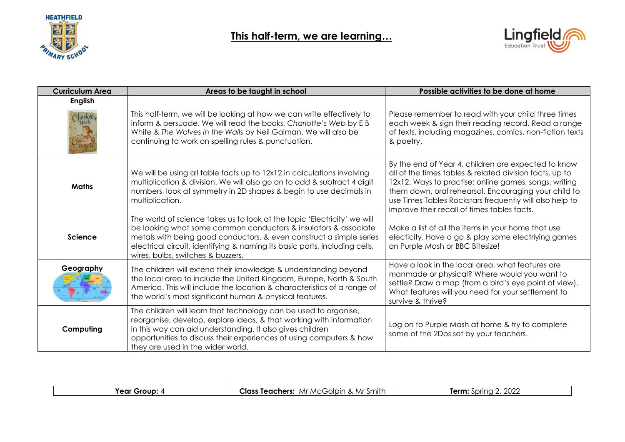

## **This half-term, we are learning…**



| <b>Curriculum Area</b>       | Areas to be taught in school                                                                                                                                                                                                                                                                                                          | Possible activities to be done at home                                                                                                                                                                                                                                                                                                    |
|------------------------------|---------------------------------------------------------------------------------------------------------------------------------------------------------------------------------------------------------------------------------------------------------------------------------------------------------------------------------------|-------------------------------------------------------------------------------------------------------------------------------------------------------------------------------------------------------------------------------------------------------------------------------------------------------------------------------------------|
| <b>English</b><br>Charlottes | This half-term, we will be looking at how we can write effectively to<br>inform & persuade. We will read the books, Charlotte's Web by E B<br>White & The Wolves in the Walls by Neil Gaiman. We will also be<br>continuing to work on spelling rules & punctuation.                                                                  | Please remember to read with your child three times<br>each week & sign their reading record. Read a range<br>of texts, including magazines, comics, non-fiction texts<br>& poetry.                                                                                                                                                       |
| <b>Maths</b>                 | We will be using all table facts up to 12x12 in calculations involving<br>multiplication & division. We will also go on to add & subtract 4 digit<br>numbers, look at symmetry in 2D shapes & begin to use decimals in<br>multiplication.                                                                                             | By the end of Year 4, children are expected to know<br>all of the times tables & related division facts, up to<br>12x12. Ways to practise: online games, songs, writing<br>them down, oral rehearsal. Encouraging your child to<br>use Times Tables Rockstars frequently will also help to<br>improve their recall of times tables facts. |
| <b>Science</b>               | The world of science takes us to look at the topic 'Electricity' we will<br>be looking what some common conductors & insulators & associate<br>metals with being good conductors, & even construct a simple series<br>electrical circuit, identifying & naming its basic parts, including cells,<br>wires, bulbs, switches & buzzers. | Make a list of all the items in your home that use<br>electicity. Have a go & play some electriying games<br>on Purple Mash or BBC Bitesize!                                                                                                                                                                                              |
| Geography                    | The children will extend their knowledge & understanding beyond<br>the local area to include the United Kingdom, Europe, North & South<br>America. This will include the location & characteristics of a range of<br>the world's most significant human & physical features.                                                          | Have a look in the local area, what features are<br>manmade or physical? Where would you want to<br>settle? Draw a map (from a bird's eye point of view).<br>What features will you need for your settlement to<br>survive & thrive?                                                                                                      |
| Computing                    | The children will learn that technology can be used to organise,<br>reorganise, develop, explore ideas, & that working with information<br>in this way can aid understanding. It also gives children<br>opportunities to discuss their experiences of using computers & how<br>they are used in the wider world.                      | Log on to Purple Mash at home & try to complete<br>some of the 2Dos set by your teachers.                                                                                                                                                                                                                                                 |

| - --<br>∻rour<br>"AN.<br>-----<br>--- | & Mr<br>'l∩cc<br>eachers:<br>$\sum_{i=1}^{n}$<br>Mr '<br><sup>1</sup> MCGC<br>olbir<br>leac<br>. | nnnr<br>Term:<br>m<br>∠∪∠∠<br>. |
|---------------------------------------|--------------------------------------------------------------------------------------------------|---------------------------------|